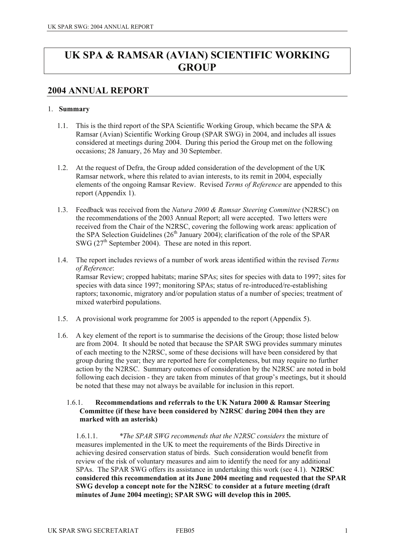# **UK SPA & RAMSAR (AVIAN) SCIENTIFIC WORKING GROUP**

## **2004 ANNUAL REPORT**

## 1. **Summary**

- 1.1. This is the third report of the SPA Scientific Working Group, which became the SPA & Ramsar (Avian) Scientific Working Group (SPAR SWG) in 2004, and includes all issues considered at meetings during 2004. During this period the Group met on the following occasions; 28 January, 26 May and 30 September.
- 1.2. At the request of Defra, the Group added consideration of the development of the UK Ramsar network, where this related to avian interests, to its remit in 2004, especially elements of the ongoing Ramsar Review. Revised *Terms of Reference* are appended to this report (Appendix 1).
- 1.3. Feedback was received from the *Natura 2000 & Ramsar Steering Committee* (N2RSC) on the recommendations of the 2003 Annual Report; all were accepted. Two letters were received from the Chair of the N2RSC, covering the following work areas: application of the SPA Selection Guidelines ( $26<sup>th</sup>$  January 2004); clarification of the role of the SPAR SWG  $(27<sup>th</sup>$  September 2004). These are noted in this report.
- 1.4. The report includes reviews of a number of work areas identified within the revised *Terms of Reference*: Ramsar Review; cropped habitats; marine SPAs; sites for species with data to 1997; sites for species with data since 1997; monitoring SPAs; status of re-introduced/re-establishing raptors; taxonomic, migratory and/or population status of a number of species; treatment of mixed waterbird populations.
- 1.5. A provisional work programme for 2005 is appended to the report (Appendix 5).
- 1.6. A key element of the report is to summarise the decisions of the Group; those listed below are from 2004. It should be noted that because the SPAR SWG provides summary minutes of each meeting to the N2RSC, some of these decisions will have been considered by that group during the year; they are reported here for completeness, but may require no further action by the N2RSC. Summary outcomes of consideration by the N2RSC are noted in bold following each decision - they are taken from minutes of that group's meetings, but it should be noted that these may not always be available for inclusion in this report.

### 1.6.1. **Recommendations and referrals to the UK Natura 2000 & Ramsar Steering Committee (if these have been considered by N2RSC during 2004 then they are marked with an asterisk)**

1.6.1.1. *\*The SPAR SWG recommends that the N2RSC considers* the mixture of measures implemented in the UK to meet the requirements of the Birds Directive in achieving desired conservation status of birds. Such consideration would benefit from review of the risk of voluntary measures and aim to identify the need for any additional SPAs. The SPAR SWG offers its assistance in undertaking this work (see 4.1). **N2RSC considered this recommendation at its June 2004 meeting and requested that the SPAR SWG develop a concept note for the N2RSC to consider at a future meeting (draft minutes of June 2004 meeting); SPAR SWG will develop this in 2005.**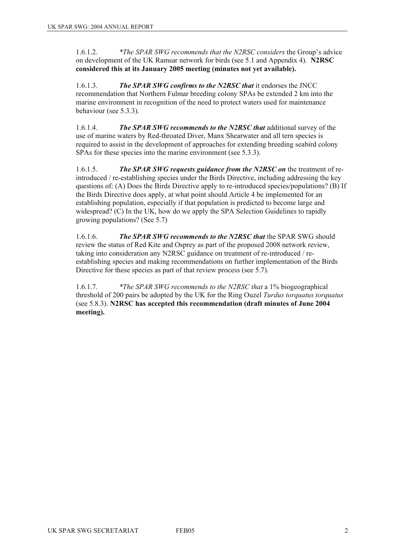1.6.1.2. *\*The SPAR SWG recommends that the N2RSC considers* the Group's advice on development of the UK Ramsar network for birds (see 5.1 and Appendix 4). **N2RSC considered this at its January 2005 meeting (minutes not yet available).** 

1.6.1.3. *The SPAR SWG confirms to the N2RSC that* it endorses the JNCC recommendation that Northern Fulmar breeding colony SPAs be extended 2 km into the marine environment in recognition of the need to protect waters used for maintenance behaviour (see 5.3.3).

1.6.1.4. *The SPAR SWG recommends to the N2RSC that* additional survey of the use of marine waters by Red-throated Diver, Manx Shearwater and all tern species is required to assist in the development of approaches for extending breeding seabird colony SPAs for these species into the marine environment (see 5.3.3).

1.6.1.5. *The SPAR SWG requests guidance from the N2RSC on* the treatment of reintroduced / re-establishing species under the Birds Directive, including addressing the key questions of: (A) Does the Birds Directive apply to re-introduced species/populations? (B) If the Birds Directive does apply, at what point should Article 4 be implemented for an establishing population, especially if that population is predicted to become large and widespread? (C) In the UK, how do we apply the SPA Selection Guidelines to rapidly growing populations? (See 5.7)

1.6.1.6. *The SPAR SWG recommends to the N2RSC that* the SPAR SWG should review the status of Red Kite and Osprey as part of the proposed 2008 network review, taking into consideration any N2RSC guidance on treatment of re-introduced / reestablishing species and making recommendations on further implementation of the Birds Directive for these species as part of that review process (see 5.7).

1.6.1.7. *\*The SPAR SWG recommends to the N2RSC that* a 1% biogeographical threshold of 200 pairs be adopted by the UK for the Ring Ouzel *Turdus torquatus torquatus*  (see 5.8.3). **N2RSC has accepted this recommendation (draft minutes of June 2004 meeting).**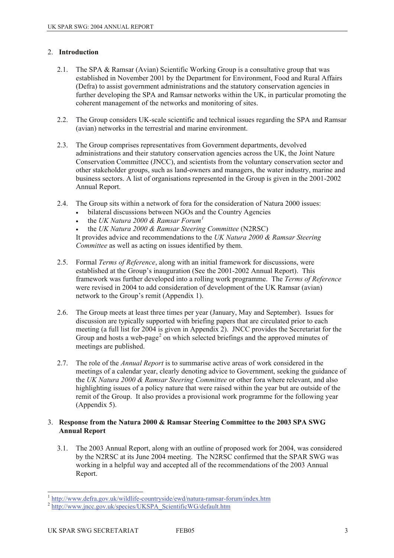## 2. **Introduction**

- 2.1. The SPA & Ramsar (Avian) Scientific Working Group is a consultative group that was established in November 2001 by the Department for Environment, Food and Rural Affairs (Defra) to assist government administrations and the statutory conservation agencies in further developing the SPA and Ramsar networks within the UK, in particular promoting the coherent management of the networks and monitoring of sites.
- 2.2. The Group considers UK-scale scientific and technical issues regarding the SPA and Ramsar (avian) networks in the terrestrial and marine environment.
- 2.3. The Group comprises representatives from Government departments, devolved administrations and their statutory conservation agencies across the UK, the Joint Nature Conservation Committee (JNCC), and scientists from the voluntary conservation sector and other stakeholder groups, such as land-owners and managers, the water industry, marine and business sectors. A list of organisations represented in the Group is given in the 2001-2002 Annual Report.
- 2.4. The Group sits within a network of fora for the consideration of Natura 2000 issues:
	- bilateral discussions between NGOs and the Country Agencies
	- the *UK Natura 2000 & Ramsar Forum[1](#page-2-0)*
	- the *UK Natura 2000 & Ramsar Steering Committee* (N2RSC)

It provides advice and recommendations to the *UK Natura 2000 & Ramsar Steering Committee* as well as acting on issues identified by them.

- 2.5. Formal *Terms of Reference*, along with an initial framework for discussions, were established at the Group's inauguration (See the 2001-2002 Annual Report). This framework was further developed into a rolling work programme. The *Terms of Reference* were revised in 2004 to add consideration of development of the UK Ramsar (avian) network to the Group's remit (Appendix 1).
- 2.6. The Group meets at least three times per year (January, May and September). Issues for discussion are typically supported with briefing papers that are circulated prior to each meeting (a full list for 2004 is given in Appendix 2). JNCC provides the Secretariat for the Group and hosts a web-page<sup>[2](#page-2-1)</sup> on which selected briefings and the approved minutes of meetings are published.
- 2.7. The role of the *Annual Report* is to summarise active areas of work considered in the meetings of a calendar year, clearly denoting advice to Government, seeking the guidance of the *UK Natura 2000 & Ramsar Steering Committee* or other fora where relevant, and also highlighting issues of a policy nature that were raised within the year but are outside of the remit of the Group. It also provides a provisional work programme for the following year (Appendix 5).

### 3. **Response from the Natura 2000 & Ramsar Steering Committee to the 2003 SPA SWG Annual Report**

3.1. The 2003 Annual Report, along with an outline of proposed work for 2004, was considered by the N2RSC at its June 2004 meeting. The N2RSC confirmed that the SPAR SWG was working in a helpful way and accepted all of the recommendations of the 2003 Annual Report.

<sup>&</sup>lt;sup>1</sup> http://www.defra.gov.uk/wildlife-countryside/ewd/natura-ramsar-forum/index.htm

<span id="page-2-1"></span><span id="page-2-0"></span><sup>&</sup>lt;sup>2</sup> http://www.incc.gov.uk/species/UKSPA\_ScientificWG/default.htm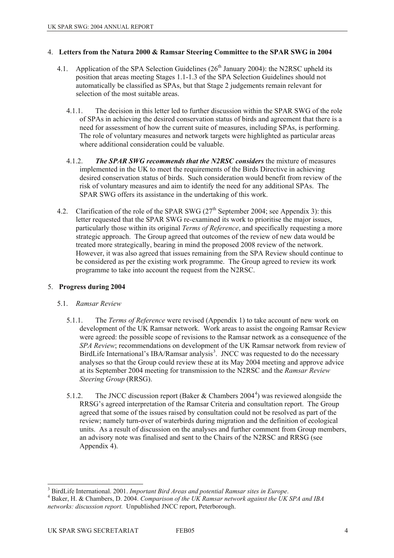### 4. **Letters from the Natura 2000 & Ramsar Steering Committee to the SPAR SWG in 2004**

- 4.1. Application of the SPA Selection Guidelines  $(26<sup>th</sup>$  January 2004): the N2RSC upheld its position that areas meeting Stages 1.1-1.3 of the SPA Selection Guidelines should not automatically be classified as SPAs, but that Stage 2 judgements remain relevant for selection of the most suitable areas.
	- 4.1.1. The decision in this letter led to further discussion within the SPAR SWG of the role of SPAs in achieving the desired conservation status of birds and agreement that there is a need for assessment of how the current suite of measures, including SPAs, is performing. The role of voluntary measures and network targets were highlighted as particular areas where additional consideration could be valuable.
	- 4.1.2. *The SPAR SWG recommends that the N2RSC considers* the mixture of measures implemented in the UK to meet the requirements of the Birds Directive in achieving desired conservation status of birds. Such consideration would benefit from review of the risk of voluntary measures and aim to identify the need for any additional SPAs. The SPAR SWG offers its assistance in the undertaking of this work.
- 4.2. Clarification of the role of the SPAR SWG  $(27<sup>th</sup>$  September 2004; see Appendix 3): this letter requested that the SPAR SWG re-examined its work to prioritise the major issues, particularly those within its original *Terms of Reference*, and specifically requesting a more strategic approach. The Group agreed that outcomes of the review of new data would be treated more strategically, bearing in mind the proposed 2008 review of the network. However, it was also agreed that issues remaining from the SPA Review should continue to be considered as per the existing work programme. The Group agreed to review its work programme to take into account the request from the N2RSC.

## 5. **Progress during 2004**

## 5.1. *Ramsar Review*

- 5.1.1. The *Terms of Reference* were revised (Appendix 1) to take account of new work on development of the UK Ramsar network. Work areas to assist the ongoing Ramsar Review were agreed: the possible scope of revisions to the Ramsar network as a consequence of the *SPA Review*; recommendations on development of the UK Ramsar network from review of BirdLife International's IBA/Ramsar analysis<sup>[3](#page-3-0)</sup>. JNCC was requested to do the necessary analyses so that the Group could review these at its May 2004 meeting and approve advice at its September 2004 meeting for transmission to the N2RSC and the *Ramsar Review Steering Group* (RRSG).
- 5.1.2. The JNCC discussion report (Baker & Chambers 200[4](#page-3-1)<sup>4</sup>) was reviewed alongside the RRSG's agreed interpretation of the Ramsar Criteria and consultation report. The Group agreed that some of the issues raised by consultation could not be resolved as part of the review; namely turn-over of waterbirds during migration and the definition of ecological units. As a result of discussion on the analyses and further comment from Group members, an advisory note was finalised and sent to the Chairs of the N2RSC and RRSG (see Appendix 4).

<span id="page-3-1"></span><span id="page-3-0"></span> $\overline{\phantom{a}}$  $3$  BirdLife International, 2001. Important Bird Areas and potential Ramsar sites in Europe. <sup>3</sup> BirdLife International. 2001. *Important Bird Areas and potential Ramsar sites in Europe*.<br><sup>4</sup> Baker, H. & Chambers, D. 2004. *Comparison of the UK Ramsar network against the UK SPA and IBA networks: discussion report.* Unpublished JNCC report, Peterborough.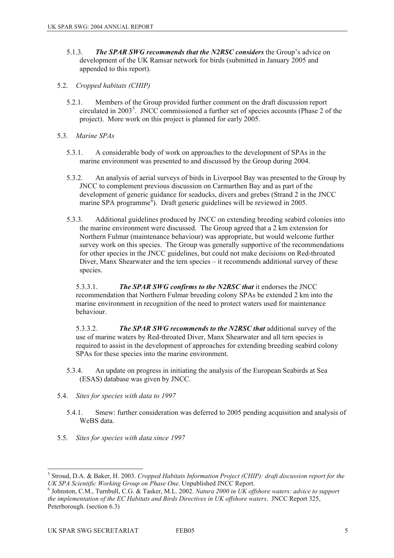- 5.1.3. *The SPAR SWG recommends that the N2RSC considers* the Group's advice on development of the UK Ramsar network for birds (submitted in January 2005 and appended to this report).
- 5.2. *Cropped habitats (CHIP)* 
	- 5.2.1. Members of the Group provided further comment on the draft discussion report circulated in 2003<sup>[5](#page-4-0)</sup>. JNCC commissioned a further set of species accounts (Phase 2 of the project). More work on this project is planned for early 2005.
- 5.3. *Marine SPAs* 
	- 5.3.1. A considerable body of work on approaches to the development of SPAs in the marine environment was presented to and discussed by the Group during 2004.
	- 5.3.2. An analysis of aerial surveys of birds in Liverpool Bay was presented to the Group by JNCC to complement previous discussion on Carmarthen Bay and as part of the development of generic guidance for seaducks, divers and grebes (Strand 2 in the JNCC marine SPA programme<sup> $\bar{\delta}$ </sup>). Draft generic guidelines will be reviewed in 2005.
	- 5.3.3. Additional guidelines produced by JNCC on extending breeding seabird colonies into the marine environment were discussed. The Group agreed that a 2 km extension for Northern Fulmar (maintenance behaviour) was appropriate, but would welcome further survey work on this species. The Group was generally supportive of the recommendations for other species in the JNCC guidelines, but could not make decisions on Red-throated Diver, Manx Shearwater and the tern species – it recommends additional survey of these species.

5.3.3.1. *The SPAR SWG confirms to the N2RSC that* it endorses the JNCC recommendation that Northern Fulmar breeding colony SPAs be extended 2 km into the marine environment in recognition of the need to protect waters used for maintenance behaviour.

5.3.3.2. *The SPAR SWG recommends to the N2RSC that* additional survey of the use of marine waters by Red-throated Diver, Manx Shearwater and all tern species is required to assist in the development of approaches for extending breeding seabird colony SPAs for these species into the marine environment.

- 5.3.4. An update on progress in initiating the analysis of the European Seabirds at Sea (ESAS) database was given by JNCC.
- 5.4. *Sites for species with data to 1997* 
	- 5.4.1. Smew: further consideration was deferred to 2005 pending acquisition and analysis of WeBS data.
- 5.5. *Sites for species with data since 1997*

<span id="page-4-0"></span> 5 Stroud, D.A. & Baker, H. 2003. *Cropped Habitats Information Project (CHIP): draft discussion report for the UK SPA Scientific Working Group on Phase One*. Unpublished JNCC Report.

<span id="page-4-1"></span>Johnston, C.M., Turnbull, C.G. & Tasker, M.L. 2002. *Natura 2000 in UK offshore waters: advice to support the implementation of the EC Habitats and Birds Directives in UK offshore waters*. JNCC Report 325, Peterborough. (section 6.3)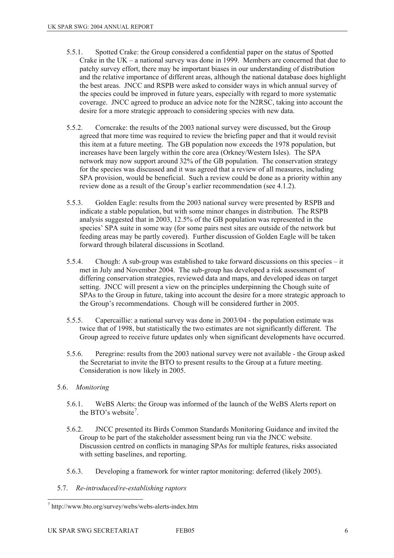- 5.5.1. Spotted Crake: the Group considered a confidential paper on the status of Spotted Crake in the UK – a national survey was done in 1999. Members are concerned that due to patchy survey effort, there may be important biases in our understanding of distribution and the relative importance of different areas, although the national database does highlight the best areas. JNCC and RSPB were asked to consider ways in which annual survey of the species could be improved in future years, especially with regard to more systematic coverage. JNCC agreed to produce an advice note for the N2RSC, taking into account the desire for a more strategic approach to considering species with new data.
- 5.5.2. Corncrake: the results of the 2003 national survey were discussed, but the Group agreed that more time was required to review the briefing paper and that it would revisit this item at a future meeting. The GB population now exceeds the 1978 population, but increases have been largely within the core area (Orkney/Western Isles). The SPA network may now support around 32% of the GB population. The conservation strategy for the species was discussed and it was agreed that a review of all measures, including SPA provision, would be beneficial. Such a review could be done as a priority within any review done as a result of the Group's earlier recommendation (see 4.1.2).
- 5.5.3. Golden Eagle: results from the 2003 national survey were presented by RSPB and indicate a stable population, but with some minor changes in distribution. The RSPB analysis suggested that in 2003, 12.5% of the GB population was represented in the species' SPA suite in some way (for some pairs nest sites are outside of the network but feeding areas may be partly covered). Further discussion of Golden Eagle will be taken forward through bilateral discussions in Scotland.
- 5.5.4. Chough: A sub-group was established to take forward discussions on this species it met in July and November 2004. The sub-group has developed a risk assessment of differing conservation strategies, reviewed data and maps, and developed ideas on target setting. JNCC will present a view on the principles underpinning the Chough suite of SPAs to the Group in future, taking into account the desire for a more strategic approach to the Group's recommendations. Chough will be considered further in 2005.
- 5.5.5. Capercaillie: a national survey was done in 2003/04 the population estimate was twice that of 1998, but statistically the two estimates are not significantly different. The Group agreed to receive future updates only when significant developments have occurred.
- 5.5.6. Peregrine: results from the 2003 national survey were not available the Group asked the Secretariat to invite the BTO to present results to the Group at a future meeting. Consideration is now likely in 2005.
- 5.6. *Monitoring* 
	- 5.6.1. WeBS Alerts: the Group was informed of the launch of the WeBS Alerts report on the BTO's website<sup>[7](#page-5-0)</sup>.
	- 5.6.2. JNCC presented its Birds Common Standards Monitoring Guidance and invited the Group to be part of the stakeholder assessment being run via the JNCC website. Discussion centred on conflicts in managing SPAs for multiple features, risks associated with setting baselines, and reporting.
	- 5.6.3. Developing a framework for winter raptor monitoring: deferred (likely 2005).
- 5.7. *Re-introduced/re-establishing raptors*

<span id="page-5-0"></span>l 7 http://www.bto.org/survey/webs/webs-alerts-index.htm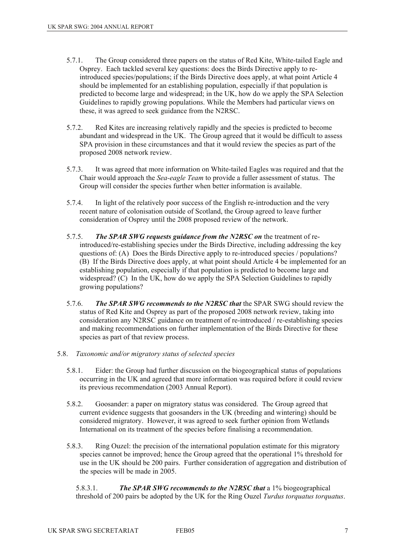- 5.7.1. The Group considered three papers on the status of Red Kite, White-tailed Eagle and Osprey. Each tackled several key questions: does the Birds Directive apply to reintroduced species/populations; if the Birds Directive does apply, at what point Article 4 should be implemented for an establishing population, especially if that population is predicted to become large and widespread; in the UK, how do we apply the SPA Selection Guidelines to rapidly growing populations. While the Members had particular views on these, it was agreed to seek guidance from the N2RSC.
- 5.7.2. Red Kites are increasing relatively rapidly and the species is predicted to become abundant and widespread in the UK. The Group agreed that it would be difficult to assess SPA provision in these circumstances and that it would review the species as part of the proposed 2008 network review.
- 5.7.3. It was agreed that more information on White-tailed Eagles was required and that the Chair would approach the *Sea-eagle Team* to provide a fuller assessment of status. The Group will consider the species further when better information is available.
- 5.7.4. In light of the relatively poor success of the English re-introduction and the very recent nature of colonisation outside of Scotland, the Group agreed to leave further consideration of Osprey until the 2008 proposed review of the network.
- 5.7.5. *The SPAR SWG requests guidance from the N2RSC on* the treatment of reintroduced/re-establishing species under the Birds Directive, including addressing the key questions of: (A) Does the Birds Directive apply to re-introduced species / populations? (B) If the Birds Directive does apply, at what point should Article 4 be implemented for an establishing population, especially if that population is predicted to become large and widespread? (C) In the UK, how do we apply the SPA Selection Guidelines to rapidly growing populations?
- 5.7.6. *The SPAR SWG recommends to the N2RSC that* the SPAR SWG should review the status of Red Kite and Osprey as part of the proposed 2008 network review, taking into consideration any N2RSC guidance on treatment of re-introduced / re-establishing species and making recommendations on further implementation of the Birds Directive for these species as part of that review process.
- 5.8. *Taxonomic and/or migratory status of selected species* 
	- 5.8.1. Eider: the Group had further discussion on the biogeographical status of populations occurring in the UK and agreed that more information was required before it could review its previous recommendation (2003 Annual Report).
	- 5.8.2. Goosander: a paper on migratory status was considered. The Group agreed that current evidence suggests that goosanders in the UK (breeding and wintering) should be considered migratory. However, it was agreed to seek further opinion from Wetlands International on its treatment of the species before finalising a recommendation.
	- 5.8.3. Ring Ouzel: the precision of the international population estimate for this migratory species cannot be improved; hence the Group agreed that the operational 1% threshold for use in the UK should be 200 pairs. Further consideration of aggregation and distribution of the species will be made in 2005.

5.8.3.1. *The SPAR SWG recommends to the N2RSC that* a 1% biogeographical threshold of 200 pairs be adopted by the UK for the Ring Ouzel *Turdus torquatus torquatus*.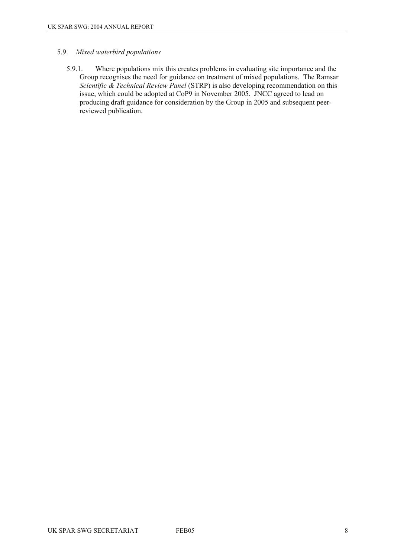#### 5.9. *Mixed waterbird populations*

5.9.1. Where populations mix this creates problems in evaluating site importance and the Group recognises the need for guidance on treatment of mixed populations. The Ramsar *Scientific & Technical Review Panel* (STRP) is also developing recommendation on this issue, which could be adopted at CoP9 in November 2005. JNCC agreed to lead on producing draft guidance for consideration by the Group in 2005 and subsequent peerreviewed publication.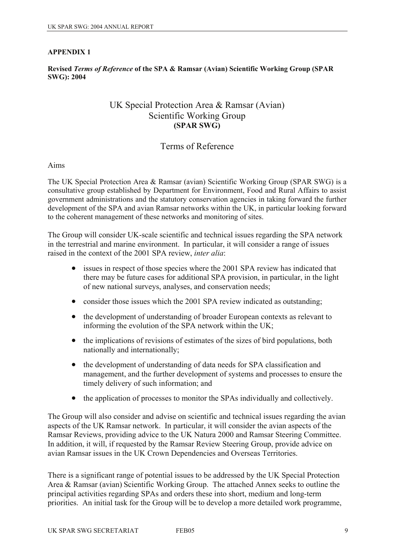## **Revised** *Terms of Reference* **of the SPA & Ramsar (Avian) Scientific Working Group (SPAR SWG): 2004**

## UK Special Protection Area & Ramsar (Avian) Scientific Working Group **(SPAR SWG)**

## Terms of Reference

## Aims

The UK Special Protection Area & Ramsar (avian) Scientific Working Group (SPAR SWG) is a consultative group established by Department for Environment, Food and Rural Affairs to assist government administrations and the statutory conservation agencies in taking forward the further development of the SPA and avian Ramsar networks within the UK, in particular looking forward to the coherent management of these networks and monitoring of sites.

The Group will consider UK-scale scientific and technical issues regarding the SPA network in the terrestrial and marine environment. In particular, it will consider a range of issues raised in the context of the 2001 SPA review, *inter alia*:

- issues in respect of those species where the 2001 SPA review has indicated that there may be future cases for additional SPA provision, in particular, in the light of new national surveys, analyses, and conservation needs;
- consider those issues which the 2001 SPA review indicated as outstanding;
- the development of understanding of broader European contexts as relevant to informing the evolution of the SPA network within the UK;
- the implications of revisions of estimates of the sizes of bird populations, both nationally and internationally;
- the development of understanding of data needs for SPA classification and management, and the further development of systems and processes to ensure the timely delivery of such information; and
- the application of processes to monitor the SPAs individually and collectively.

The Group will also consider and advise on scientific and technical issues regarding the avian aspects of the UK Ramsar network. In particular, it will consider the avian aspects of the Ramsar Reviews, providing advice to the UK Natura 2000 and Ramsar Steering Committee. In addition, it will, if requested by the Ramsar Review Steering Group, provide advice on avian Ramsar issues in the UK Crown Dependencies and Overseas Territories.

There is a significant range of potential issues to be addressed by the UK Special Protection Area & Ramsar (avian) Scientific Working Group. The attached Annex seeks to outline the principal activities regarding SPAs and orders these into short, medium and long-term priorities. An initial task for the Group will be to develop a more detailed work programme,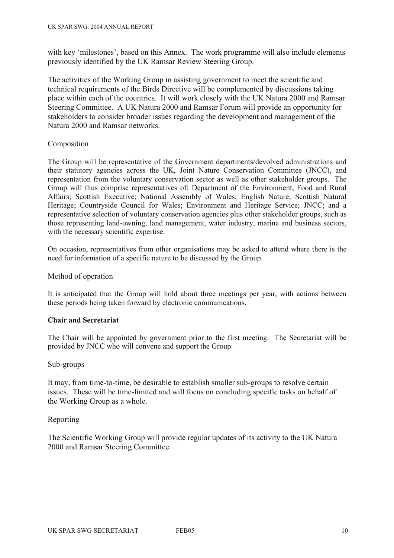with key 'milestones', based on this Annex. The work programme will also include elements previously identified by the UK Ramsar Review Steering Group.

The activities of the Working Group in assisting government to meet the scientific and technical requirements of the Birds Directive will be complemented by discussions taking place within each of the countries. It will work closely with the UK Natura 2000 and Ramsar Steering Committee. A UK Natura 2000 and Ramsar Forum will provide an opportunity for stakeholders to consider broader issues regarding the development and management of the Natura 2000 and Ramsar networks.

## Composition

The Group will be representative of the Government departments/devolved administrations and their statutory agencies across the UK, Joint Nature Conservation Committee (JNCC), and representation from the voluntary conservation sector as well as other stakeholder groups. The Group will thus comprise representatives of: Department of the Environment, Food and Rural Affairs; Scottish Executive; National Assembly of Wales; English Nature; Scottish Natural Heritage; Countryside Council for Wales; Environment and Heritage Service; JNCC; and a representative selection of voluntary conservation agencies plus other stakeholder groups, such as those representing land-owning, land management, water industry, marine and business sectors, with the necessary scientific expertise.

On occasion, representatives from other organisations may be asked to attend where there is the need for information of a specific nature to be discussed by the Group.

## Method of operation

It is anticipated that the Group will hold about three meetings per year, with actions between these periods being taken forward by electronic communications.

## **Chair and Secretariat**

The Chair will be appointed by government prior to the first meeting. The Secretariat will be provided by JNCC who will convene and support the Group.

#### Sub-groups

It may, from time-to-time, be desirable to establish smaller sub-groups to resolve certain issues. These will be time-limited and will focus on concluding specific tasks on behalf of the Working Group as a whole.

## Reporting

The Scientific Working Group will provide regular updates of its activity to the UK Natura 2000 and Ramsar Steering Committee.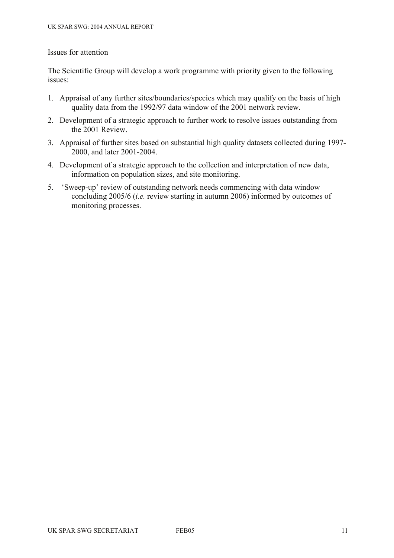## Issues for attention

The Scientific Group will develop a work programme with priority given to the following issues:

- 1. Appraisal of any further sites/boundaries/species which may qualify on the basis of high quality data from the 1992/97 data window of the 2001 network review.
- 2. Development of a strategic approach to further work to resolve issues outstanding from the 2001 Review.
- 3. Appraisal of further sites based on substantial high quality datasets collected during 1997- 2000, and later 2001-2004.
- 4. Development of a strategic approach to the collection and interpretation of new data, information on population sizes, and site monitoring.
- 5. 'Sweep-up' review of outstanding network needs commencing with data window concluding 2005/6 (*i.e.* review starting in autumn 2006) informed by outcomes of monitoring processes.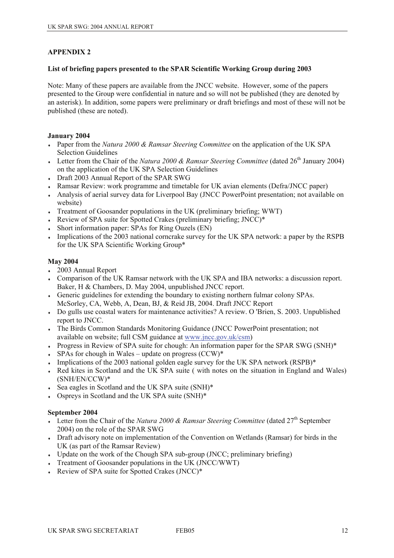#### **List of briefing papers presented to the SPAR Scientific Working Group during 2003**

Note: Many of these papers are available from the JNCC website. However, some of the papers presented to the Group were confidential in nature and so will not be published (they are denoted by an asterisk). In addition, some papers were preliminary or draft briefings and most of these will not be published (these are noted).

#### **January 2004**

- ♦ Paper from the *Natura 2000 & Ramsar Steering Committee* on the application of the UK SPA Selection Guidelines
- $\bullet$  Letter from the Chair of the *Natura 2000 & Ramsar Steering Committee* (dated 26<sup>th</sup> January 2004) on the application of the UK SPA Selection Guidelines
- Draft 2003 Annual Report of the SPAR SWG
- Ramsar Review: work programme and timetable for UK avian elements (Defra/JNCC paper)
- ♦ Analysis of aerial survey data for Liverpool Bay (JNCC PowerPoint presentation; not available on website)
- Treatment of Goosander populations in the UK (preliminary briefing; WWT)
- Review of SPA suite for Spotted Crakes (preliminary briefing; JNCC)\*
- Short information paper: SPAs for Ring Ouzels (EN)
- Implications of the 2003 national corncrake survey for the UK SPA network: a paper by the RSPB for the UK SPA Scientific Working Group\*

#### **May 2004**

- 2003 Annual Report
- ♦ Comparison of the UK Ramsar network with the UK SPA and IBA networks: a discussion report. Baker, H & Chambers, D. May 2004, unpublished JNCC report.
- ♦ Generic guidelines for extending the boundary to existing northern fulmar colony SPAs. McSorley, CA, Webb, A, Dean, BJ, & Reid JB, 2004. Draft JNCC Report
- Do gulls use coastal waters for maintenance activities? A review. O 'Brien, S. 2003. Unpublished report to JNCC.
- ♦ The Birds Common Standards Monitoring Guidance (JNCC PowerPoint presentation; not available on website; full CSM guidance at [www.jncc.gov.uk/csm\)](http://www.jncc.gov.uk/csm)
- Progress in Review of SPA suite for chough: An information paper for the SPAR SWG (SNH)\*
- $\cdot$  SPAs for chough in Wales update on progress (CCW)\*
- $\bullet$  Implications of the 2003 national golden eagle survey for the UK SPA network (RSPB) $^*$
- Red kites in Scotland and the UK SPA suite (with notes on the situation in England and Wales) (SNH/EN/CCW)\*
- Sea eagles in Scotland and the UK SPA suite (SNH)\*
- ♦ Ospreys in Scotland and the UK SPA suite (SNH)\*

#### **September 2004**

- $\bullet$  Letter from the Chair of the *Natura 2000 & Ramsar Steering Committee* (dated 27<sup>th</sup> September 2004) on the role of the SPAR SWG
- Draft advisory note on implementation of the Convention on Wetlands (Ramsar) for birds in the UK (as part of the Ramsar Review)
- $\bullet$  Update on the work of the Chough SPA sub-group (JNCC; preliminary briefing)
- $\cdot$  Treatment of Goosander populations in the UK (JNCC/WWT)
- Review of SPA suite for Spotted Crakes (JNCC)\*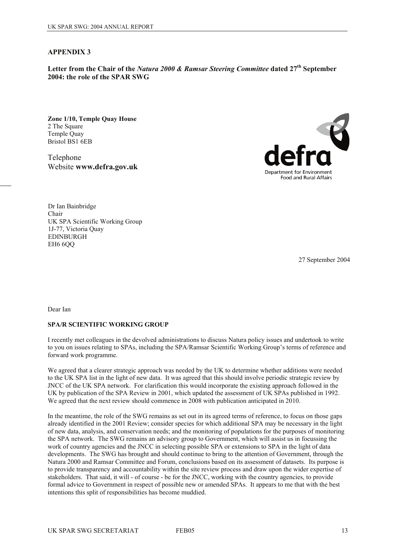**Letter from the Chair of the** *Natura 2000 & Ramsar Steering Committee* **dated 27th September 2004: the role of the SPAR SWG** 

**Zone 1/10, Temple Quay House**  2 The Square Temple Quay Bristol BS1 6EB

Telephone Website **www.defra.gov.uk** 



Dr Ian Bainbridge Chair UK SPA Scientific Working Group 1J-77, Victoria Quay EDINBURGH EH6 6OO

27 September 2004

Dear Ian

#### **SPA/R SCIENTIFIC WORKING GROUP**

I recently met colleagues in the devolved administrations to discuss Natura policy issues and undertook to write to you on issues relating to SPAs, including the SPA/Ramsar Scientific Working Group's terms of reference and forward work programme.

We agreed that a clearer strategic approach was needed by the UK to determine whether additions were needed to the UK SPA list in the light of new data. It was agreed that this should involve periodic strategic review by JNCC of the UK SPA network. For clarification this would incorporate the existing approach followed in the UK by publication of the SPA Review in 2001, which updated the assessment of UK SPAs published in 1992. We agreed that the next review should commence in 2008 with publication anticipated in 2010.

In the meantime, the role of the SWG remains as set out in its agreed terms of reference, to focus on those gaps already identified in the 2001 Review; consider species for which additional SPA may be necessary in the light of new data, analysis, and conservation needs; and the monitoring of populations for the purposes of monitoring the SPA network. The SWG remains an advisory group to Government, which will assist us in focussing the work of country agencies and the JNCC in selecting possible SPA or extensions to SPA in the light of data developments. The SWG has brought and should continue to bring to the attention of Government, through the Natura 2000 and Ramsar Committee and Forum, conclusions based on its assessment of datasets. Its purpose is to provide transparency and accountability within the site review process and draw upon the wider expertise of stakeholders. That said, it will - of course - be for the JNCC, working with the country agencies, to provide formal advice to Government in respect of possible new or amended SPAs. It appears to me that with the best intentions this split of responsibilities has become muddied.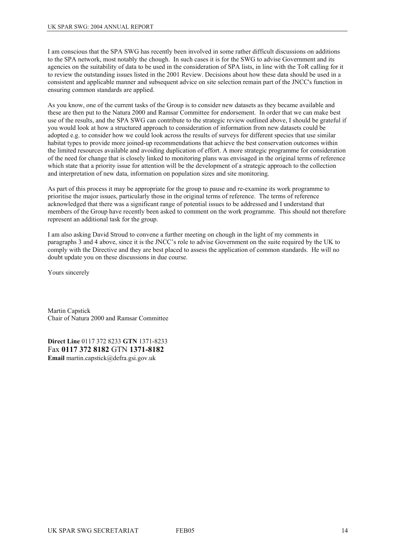I am conscious that the SPA SWG has recently been involved in some rather difficult discussions on additions to the SPA network, most notably the chough. In such cases it is for the SWG to advise Government and its agencies on the suitability of data to be used in the consideration of SPA lists, in line with the ToR calling for it to review the outstanding issues listed in the 2001 Review. Decisions about how these data should be used in a consistent and applicable manner and subsequent advice on site selection remain part of the JNCC's function in ensuring common standards are applied.

As you know, one of the current tasks of the Group is to consider new datasets as they became available and these are then put to the Natura 2000 and Ramsar Committee for endorsement. In order that we can make best use of the results, and the SPA SWG can contribute to the strategic review outlined above, I should be grateful if you would look at how a structured approach to consideration of information from new datasets could be adopted e.g. to consider how we could look across the results of surveys for different species that use similar habitat types to provide more joined-up recommendations that achieve the best conservation outcomes within the limited resources available and avoiding duplication of effort. A more strategic programme for consideration of the need for change that is closely linked to monitoring plans was envisaged in the original terms of reference which state that a priority issue for attention will be the development of a strategic approach to the collection and interpretation of new data, information on population sizes and site monitoring.

As part of this process it may be appropriate for the group to pause and re-examine its work programme to prioritise the major issues, particularly those in the original terms of reference. The terms of reference acknowledged that there was a significant range of potential issues to be addressed and I understand that members of the Group have recently been asked to comment on the work programme. This should not therefore represent an additional task for the group.

I am also asking David Stroud to convene a further meeting on chough in the light of my comments in paragraphs 3 and 4 above, since it is the JNCC's role to advise Government on the suite required by the UK to comply with the Directive and they are best placed to assess the application of common standards. He will no doubt update you on these discussions in due course.

Yours sincerely

Martin Capstick Chair of Natura 2000 and Ramsar Committee

**Direct Line** 0117 372 8233 **GTN** 1371-8233 Fax **0117 372 8182** GTN **1371-8182 Email** martin.capstick@defra.gsi.gov.uk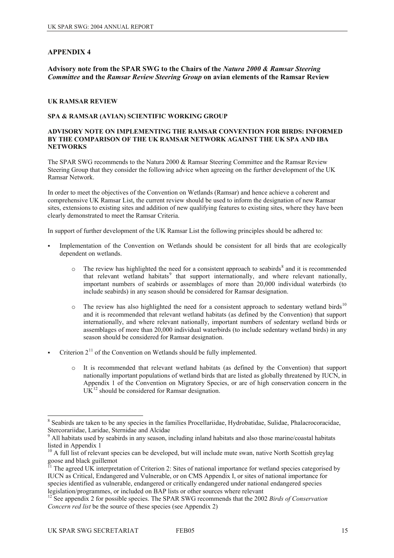**Advisory note from the SPAR SWG to the Chairs of the** *Natura 2000 & Ramsar Steering Committee* **and the** *Ramsar Review Steering Group* **on avian elements of the Ramsar Review** 

#### **UK RAMSAR REVIEW**

#### **SPA & RAMSAR (AVIAN) SCIENTIFIC WORKING GROUP**

#### **ADVISORY NOTE ON IMPLEMENTING THE RAMSAR CONVENTION FOR BIRDS: INFORMED BY THE COMPARISON OF THE UK RAMSAR NETWORK AGAINST THE UK SPA AND IBA NETWORKS**

The SPAR SWG recommends to the Natura 2000 & Ramsar Steering Committee and the Ramsar Review Steering Group that they consider the following advice when agreeing on the further development of the UK Ramsar Network.

In order to meet the objectives of the Convention on Wetlands (Ramsar) and hence achieve a coherent and comprehensive UK Ramsar List, the current review should be used to inform the designation of new Ramsar sites, extensions to existing sites and addition of new qualifying features to existing sites, where they have been clearly demonstrated to meet the Ramsar Criteria.

In support of further development of the UK Ramsar List the following principles should be adhered to:

- Implementation of the Convention on Wetlands should be consistent for all birds that are ecologically dependent on wetlands.
	- $\circ$  The review has highlighted the need for a consistent approach to seabirds<sup>[8](#page-14-0)</sup> and it is recommended that relevant wetland habitats<sup>[9](#page-14-1)</sup> that support internationally, and where relevant nationally, important numbers of seabirds or assemblages of more than 20,000 individual waterbirds (to include seabirds) in any season should be considered for Ramsar designation.
	- The review has also highlighted the need for a consistent approach to sedentary wetland birds<sup>[1](#page-14-2)0</sup> and it is recommended that relevant wetland habitats (as defined by the Convention) that support internationally, and where relevant nationally, important numbers of sedentary wetland birds or assemblages of more than 20,000 individual waterbirds (to include sedentary wetland birds) in any season should be considered for Ramsar designation.
- Criterion  $2<sup>11</sup>$  $2<sup>11</sup>$  $2<sup>11</sup>$  of the Convention on Wetlands should be fully implemented.
	- o It is recommended that relevant wetland habitats (as defined by the Convention) that support nationally important populations of wetland birds that are listed as globally threatened by IUCN, in Appendix 1 of the Convention on Migratory Species, or are of high conservation concern in the  $UK<sup>12</sup>$  $UK<sup>12</sup>$  $UK<sup>12</sup>$  should be considered for Ramsar designation.

 $\overline{\phantom{a}}$ 

<span id="page-14-0"></span><sup>&</sup>lt;sup>8</sup> Seabirds are taken to be any species in the families Procellariidae, Hydrobatidae, Sulidae, Phalacrocoracidae, Stercorariidae, Laridae, Sternidae and Alcidae

<span id="page-14-1"></span><sup>&</sup>lt;sup>9</sup> All habitats used by seabirds in any season, including inland habitats and also those marine/coastal habitats listed in Appendix 1

<span id="page-14-2"></span><sup>&</sup>lt;sup>10</sup> A full list of relevant species can be developed, but will include mute swan, native North Scottish greylag goose and black guillemot

<span id="page-14-3"></span> $11$  The agreed UK interpretation of Criterion 2: Sites of national importance for wetland species categorised by IUCN as Critical, Endangered and Vulnerable, or on CMS Appendix I, or sites of national importance for species identified as vulnerable, endangered or critically endangered under national endangered species legislation/programmes, or included on BAP lists or other sources where relevant

<span id="page-14-4"></span><sup>&</sup>lt;sup>12</sup> See appendix 2 for possible species. The SPAR SWG recommends that the 2002 *Birds of Conservation Concern red list* be the source of these species (see Appendix 2)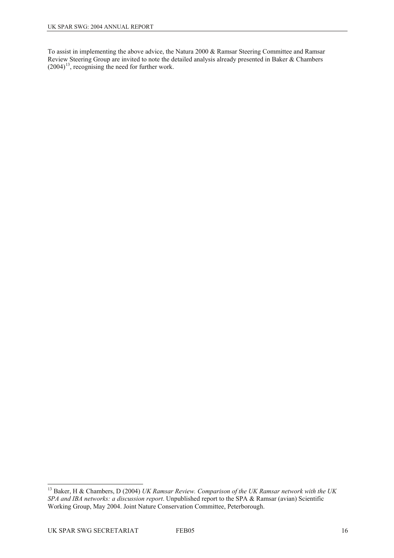To assist in implementing the above advice, the Natura 2000 & Ramsar Steering Committee and Ramsar Review Steering Group are invited to note the detailed analysis already presented in Baker & Chambers  $(2004)^{13}$  $(2004)^{13}$  $(2004)^{13}$ , recognising the need for further work.

<span id="page-15-0"></span> $\overline{\phantom{a}}$ 13 Baker, H & Chambers, D (2004) *UK Ramsar Review. Comparison of the UK Ramsar network with the UK SPA and IBA networks: a discussion report*. Unpublished report to the SPA & Ramsar (avian) Scientific Working Group, May 2004. Joint Nature Conservation Committee, Peterborough.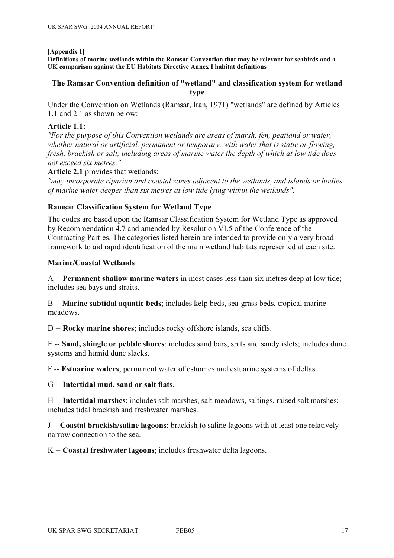#### [**Appendix 1]**

**Definitions of marine wetlands within the Ramsar Convention that may be relevant for seabirds and a UK comparison against the EU Habitats Directive Annex I habitat definitions** 

## **The Ramsar Convention definition of "wetland" and classification system for wetland type**

Under the Convention on Wetlands (Ramsar, Iran, 1971) "wetlands" are defined by Articles 1.1 and 2.1 as shown below:

## **Article 1.1:**

*"For the purpose of this Convention wetlands are areas of marsh, fen, peatland or water, whether natural or artificial, permanent or temporary, with water that is static or flowing, fresh, brackish or salt, including areas of marine water the depth of which at low tide does not exceed six metres."*

**Article 2.1** provides that wetlands:

*"may incorporate riparian and coastal zones adjacent to the wetlands, and islands or bodies of marine water deeper than six metres at low tide lying within the wetlands".*

## **Ramsar Classification System for Wetland Type**

The codes are based upon the Ramsar Classification System for Wetland Type as approved by Recommendation 4.7 and amended by Resolution VI.5 of the Conference of the Contracting Parties. The categories listed herein are intended to provide only a very broad framework to aid rapid identification of the main wetland habitats represented at each site.

## **Marine/Coastal Wetlands**

A -- **Permanent shallow marine waters** in most cases less than six metres deep at low tide; includes sea bays and straits.

B -- **Marine subtidal aquatic beds**; includes kelp beds, sea-grass beds, tropical marine meadows.

D -- **Rocky marine shores**; includes rocky offshore islands, sea cliffs.

E -- **Sand, shingle or pebble shores**; includes sand bars, spits and sandy islets; includes dune systems and humid dune slacks.

F -- **Estuarine waters**; permanent water of estuaries and estuarine systems of deltas.

## G -- **Intertidal mud, sand or salt flats**.

H -- **Intertidal marshes**; includes salt marshes, salt meadows, saltings, raised salt marshes; includes tidal brackish and freshwater marshes.

J -- **Coastal brackish/saline lagoons**; brackish to saline lagoons with at least one relatively narrow connection to the sea.

K -- **Coastal freshwater lagoons**; includes freshwater delta lagoons.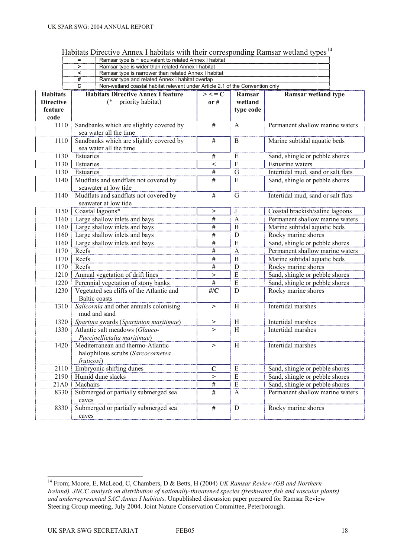| Habitats Directive Annex I habitats with their corresponding Ramsar wetland types <sup>14</sup> |  |  |
|-------------------------------------------------------------------------------------------------|--|--|

|                  |                                                                                                                                       | Ramsar type is $\sim$ equivalent to related Annex I habitat |                 |                                             |                                    |  |
|------------------|---------------------------------------------------------------------------------------------------------------------------------------|-------------------------------------------------------------|-----------------|---------------------------------------------|------------------------------------|--|
|                  | Ramsar type is wider than related Annex I habitat<br>$\geq$                                                                           |                                                             |                 |                                             |                                    |  |
|                  | Ramsar type is narrower than related Annex I habitat<br><                                                                             |                                                             |                 |                                             |                                    |  |
|                  | #<br>Ramsar type and related Annex I habitat overlap<br>Non-wetland coastal habitat relevant under Article 2.1 of the Convention only |                                                             |                 |                                             |                                    |  |
|                  | $\overline{\mathbf{c}}$                                                                                                               |                                                             |                 |                                             |                                    |  |
| <b>Habitats</b>  |                                                                                                                                       | <b>Habitats Directive Annex I feature</b>                   | $>$ < = $C$     | Ramsar                                      | <b>Ramsar wetland type</b>         |  |
| <b>Directive</b> |                                                                                                                                       | $(* = priority habitat)$                                    | or $#$          | wetland                                     |                                    |  |
| feature          |                                                                                                                                       |                                                             |                 | type code                                   |                                    |  |
| code             |                                                                                                                                       |                                                             |                 |                                             |                                    |  |
| 1110             |                                                                                                                                       | Sandbanks which are slightly covered by                     | $\#$            | A                                           | Permanent shallow marine waters    |  |
|                  | sea water all the time                                                                                                                |                                                             |                 |                                             |                                    |  |
| 1110             |                                                                                                                                       | Sandbanks which are slightly covered by                     |                 | B                                           | Marine subtidal aquatic beds       |  |
|                  | sea water all the time                                                                                                                |                                                             |                 |                                             |                                    |  |
| 1130             | Estuaries                                                                                                                             |                                                             | $\#$            | Ε                                           | Sand, shingle or pebble shores     |  |
| 1130             |                                                                                                                                       | Estuaries                                                   |                 | $\overline{F}$                              | Estuarine waters                   |  |
| 1130             | Estuaries                                                                                                                             |                                                             | $\prec$<br>$\#$ | G                                           | Intertidal mud, sand or salt flats |  |
|                  |                                                                                                                                       |                                                             | $\overline{H}$  | ${\bf E}$                                   |                                    |  |
| 1140             |                                                                                                                                       | Mudflats and sandflats not covered by                       |                 |                                             | Sand, shingle or pebble shores     |  |
|                  |                                                                                                                                       | seawater at low tide                                        |                 |                                             |                                    |  |
| 1140             |                                                                                                                                       | Mudflats and sandflats not covered by                       | $\#$            | G                                           | Intertidal mud, sand or salt flats |  |
|                  |                                                                                                                                       | seawater at low tide                                        |                 |                                             |                                    |  |
| 1150             |                                                                                                                                       | Coastal lagoons*                                            | >               | J                                           | Coastal brackish/saline lagoons    |  |
| 1160             |                                                                                                                                       | Large shallow inlets and bays                               | $\#$            | $\mathbf{A}$                                | Permanent shallow marine waters    |  |
| 1160             |                                                                                                                                       | Large shallow inlets and bays                               | $\#$            | $\mathbf B$                                 | Marine subtidal aquatic beds       |  |
| 1160             |                                                                                                                                       | Large shallow inlets and bays                               | $\#$            | D                                           | Rocky marine shores                |  |
| 1160             |                                                                                                                                       | Large shallow inlets and bays                               | $\#$            | E                                           | Sand, shingle or pebble shores     |  |
| 1170             | Reefs                                                                                                                                 |                                                             | #               | $\mathbf{A}$                                | Permanent shallow marine waters    |  |
| 1170             | Reefs                                                                                                                                 |                                                             | #               | $\mathbf B$<br>Marine subtidal aquatic beds |                                    |  |
| 1170             | Reefs                                                                                                                                 |                                                             | $\#$            | D                                           | Rocky marine shores                |  |
| 1210             |                                                                                                                                       | Annual vegetation of drift lines                            | $\, > \,$       | E                                           | Sand, shingle or pebble shores     |  |
| 1220             |                                                                                                                                       |                                                             | #               | E                                           |                                    |  |
|                  |                                                                                                                                       | Perennial vegetation of stony banks                         |                 |                                             | Sand, shingle or pebble shores     |  |
| 1230             |                                                                                                                                       | Vegetated sea cliffs of the Atlantic and                    | $#$ / $C$       | D                                           | Rocky marine shores                |  |
|                  |                                                                                                                                       | <b>Baltic</b> coasts                                        |                 |                                             |                                    |  |
| 1310             |                                                                                                                                       | Salicornia and other annuals colonising                     | $\, > \,$       | H                                           | Intertidal marshes                 |  |
|                  |                                                                                                                                       | mud and sand                                                |                 |                                             |                                    |  |
| 1320             |                                                                                                                                       | Spartina swards (Spartinion maritimae)                      | >               | H                                           | Intertidal marshes                 |  |
| 1330             |                                                                                                                                       | Atlantic salt meadows (Glauco-                              | $\geq$          | H                                           | Intertidal marshes                 |  |
|                  |                                                                                                                                       | Puccinellietalia maritimae)                                 |                 |                                             |                                    |  |
| 1420             |                                                                                                                                       | Mediterranean and thermo-Atlantic                           | $\, > \,$       | H                                           | Intertidal marshes                 |  |
|                  |                                                                                                                                       | halophilous scrubs (Sarcocornetea                           |                 |                                             |                                    |  |
|                  | fruticosi)                                                                                                                            |                                                             |                 |                                             |                                    |  |
| 2110             |                                                                                                                                       | Embryonic shifting dunes                                    | $\mathbf C$     | E                                           | Sand, shingle or pebble shores     |  |
| 2190             |                                                                                                                                       | Humid dune slacks                                           | >               | E                                           | Sand, shingle or pebble shores     |  |
| 21A0             | Machairs                                                                                                                              |                                                             | $\#$            | E                                           | Sand, shingle or pebble shores     |  |
| 8330             |                                                                                                                                       | Submerged or partially submerged sea                        | $\#$            | A                                           | Permanent shallow marine waters    |  |
|                  | caves                                                                                                                                 |                                                             |                 |                                             |                                    |  |
|                  |                                                                                                                                       | Submerged or partially submerged sea                        |                 |                                             |                                    |  |
| 8330             |                                                                                                                                       |                                                             | $\#$            | $\mathbf D$                                 | Rocky marine shores                |  |
|                  | caves                                                                                                                                 |                                                             |                 |                                             |                                    |  |

 $\overline{a}$ 

<span id="page-17-0"></span><sup>14</sup> From; Moore, E, McLeod, C, Chambers, D & Betts, H (2004) *UK Ramsar Review (GB and Northern Ireland). JNCC analysis on distribution of nationally-threatened species (freshwater fish and vascular plants) and underrepresented SAC Annex I habitats*. Unpublished discussion paper prepared for Ramsar Review Steering Group meeting, July 2004. Joint Nature Conservation Committee, Peterborough.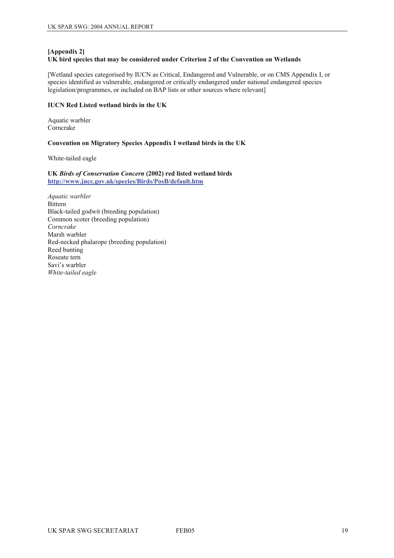#### **[Appendix 2]**

#### **UK bird species that may be considered under Criterion 2 of the Convention on Wetlands**

[Wetland species categorised by IUCN as Critical, Endangered and Vulnerable, or on CMS Appendix I, or species identified as vulnerable, endangered or critically endangered under national endangered species legislation/programmes, or included on BAP lists or other sources where relevant]

#### **IUCN Red Listed wetland birds in the UK**

Aquatic warbler Corncrake

#### **Convention on Migratory Species Appendix I wetland birds in the UK**

White-tailed eagle

#### **UK** *Birds of Conservation Concern* **(2002) red listed wetland birds <http://www.jncc.gov.uk/species/Birds/PosB/default.htm>**

*Aquatic warbler*  Bittern Black-tailed godwit (breeding population) Common scoter (breeding population) *Corncrake*  Marsh warbler Red-necked phalarope (breeding population) Reed bunting Roseate tern Savi's warbler *White-tailed eagle*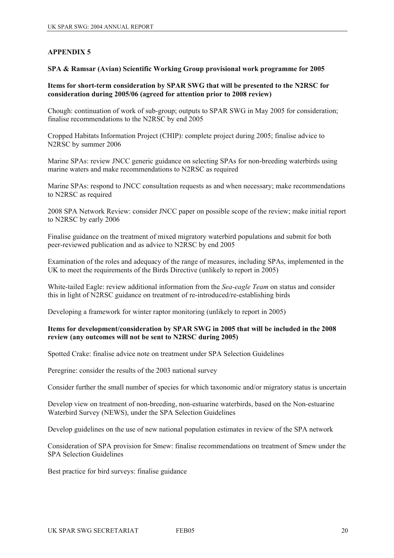**SPA & Ramsar (Avian) Scientific Working Group provisional work programme for 2005** 

#### **Items for short-term consideration by SPAR SWG that will be presented to the N2RSC for consideration during 2005/06 (agreed for attention prior to 2008 review)**

Chough: continuation of work of sub-group; outputs to SPAR SWG in May 2005 for consideration; finalise recommendations to the N2RSC by end 2005

Cropped Habitats Information Project (CHIP): complete project during 2005; finalise advice to N2RSC by summer 2006

Marine SPAs: review JNCC generic guidance on selecting SPAs for non-breeding waterbirds using marine waters and make recommendations to N2RSC as required

Marine SPAs: respond to JNCC consultation requests as and when necessary; make recommendations to N2RSC as required

2008 SPA Network Review: consider JNCC paper on possible scope of the review; make initial report to N2RSC by early 2006

Finalise guidance on the treatment of mixed migratory waterbird populations and submit for both peer-reviewed publication and as advice to N2RSC by end 2005

Examination of the roles and adequacy of the range of measures, including SPAs, implemented in the UK to meet the requirements of the Birds Directive (unlikely to report in 2005)

White-tailed Eagle: review additional information from the *Sea-eagle Team* on status and consider this in light of N2RSC guidance on treatment of re-introduced/re-establishing birds

Developing a framework for winter raptor monitoring (unlikely to report in 2005)

#### **Items for development/consideration by SPAR SWG in 2005 that will be included in the 2008 review (any outcomes will not be sent to N2RSC during 2005)**

Spotted Crake: finalise advice note on treatment under SPA Selection Guidelines

Peregrine: consider the results of the 2003 national survey

Consider further the small number of species for which taxonomic and/or migratory status is uncertain

Develop view on treatment of non-breeding, non-estuarine waterbirds, based on the Non-estuarine Waterbird Survey (NEWS), under the SPA Selection Guidelines

Develop guidelines on the use of new national population estimates in review of the SPA network

Consideration of SPA provision for Smew: finalise recommendations on treatment of Smew under the SPA Selection Guidelines

Best practice for bird surveys: finalise guidance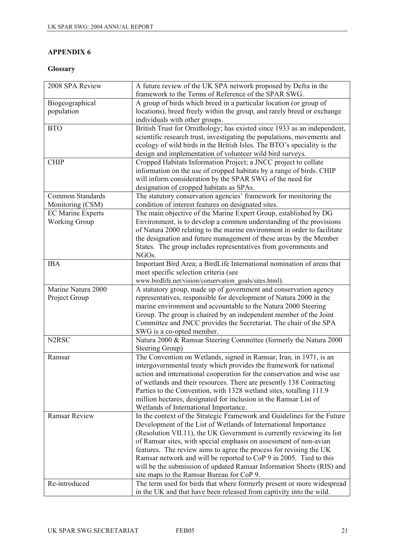## **Glossary**

| 2008 SPA Review                | A future review of the UK SPA network proposed by Defra in the<br>framework to the Terms of Reference of the SPAR SWG. |
|--------------------------------|------------------------------------------------------------------------------------------------------------------------|
| Biogeographical                | A group of birds which breed in a particular location (or group of                                                     |
| population                     | locations), breed freely within the group, and rarely breed or exchange                                                |
|                                | individuals with other groups.                                                                                         |
| <b>BTO</b>                     | British Trust for Ornithology; has existed since 1933 as an independent,                                               |
|                                | scientific research trust, investigating the populations, movements and                                                |
|                                | ecology of wild birds in the British Isles. The BTO's speciality is the                                                |
|                                | design and implementation of volunteer wild bird surveys.                                                              |
| <b>CHIP</b>                    | Cropped Habitats Information Project; a JNCC project to collate                                                        |
|                                | information on the use of cropped habitats by a range of birds. CHIP                                                   |
|                                | will inform consideration by the SPAR SWG of the need for                                                              |
|                                | designation of cropped habitats as SPAs.                                                                               |
| Common Standards               | The statutory conservation agencies' framework for monitoring the                                                      |
| Monitoring (CSM)               | condition of interest features on designated sites.                                                                    |
| <b>EC Marine Experts</b>       | The main objective of the Marine Expert Group, established by DG                                                       |
| <b>Working Group</b>           | Environment, is to develop a common understanding of the provisions                                                    |
|                                | of Natura 2000 relating to the marine environment in order to facilitate                                               |
|                                | the designation and future management of these areas by the Member                                                     |
|                                | States. The group includes representatives from governments and                                                        |
|                                | NGO <sub>s.</sub>                                                                                                      |
| <b>IBA</b>                     | Important Bird Area; a BirdLife International nomination of areas that                                                 |
|                                | meet specific selection criteria (see                                                                                  |
|                                | www.birdlife.net/vision/conservation_goals/sites.html).                                                                |
| Marine Natura 2000             | A statutory group, made up of government and conservation agency                                                       |
| Project Group                  | representatives, responsible for development of Natura 2000 in the                                                     |
|                                | marine environment and accountable to the Natura 2000 Steering                                                         |
|                                | Group. The group is chaired by an independent member of the Joint                                                      |
|                                | Committee and JNCC provides the Secretariat. The chair of the SPA                                                      |
|                                | SWG is a co-opted member.                                                                                              |
| N <sub>2</sub> R <sub>SC</sub> | Natura 2000 & Ramsar Steering Committee (formerly the Natura 2000                                                      |
|                                | Steering Group)                                                                                                        |
| Ramsar                         | The Convention on Wetlands, signed in Ramsar, Iran, in 1971, is an                                                     |
|                                | intergovernmental treaty which provides the framework for national                                                     |
|                                | action and international cooperation for the conservation and wise use                                                 |
|                                | of wetlands and their resources. There are presently 138 Contracting                                                   |
|                                | Parties to the Convention, with 1328 wetland sites, totalling 111.9                                                    |
|                                | million hectares, designated for inclusion in the Ramsar List of                                                       |
|                                | Wetlands of International Importance.                                                                                  |
| <b>Ramsar Review</b>           | In the context of the Strategic Framework and Guidelines for the Future                                                |
|                                | Development of the List of Wetlands of International Importance                                                        |
|                                | (Resolution VII.11), the UK Government is currently reviewing its list                                                 |
|                                | of Ramsar sites, with special emphasis on assessment of non-avian                                                      |
|                                | features. The review aims to agree the process for revising the UK                                                     |
|                                | Ramsar network and will be reported to CoP 9 in 2005. Tied to this                                                     |
|                                | will be the submission of updated Ramsar Information Sheets (RIS) and                                                  |
|                                | site maps to the Ramsar Bureau for CoP 9.                                                                              |
| Re-introduced                  | The term used for birds that where formerly present or more widespread                                                 |
|                                | in the UK and that have been released from captivity into the wild.                                                    |